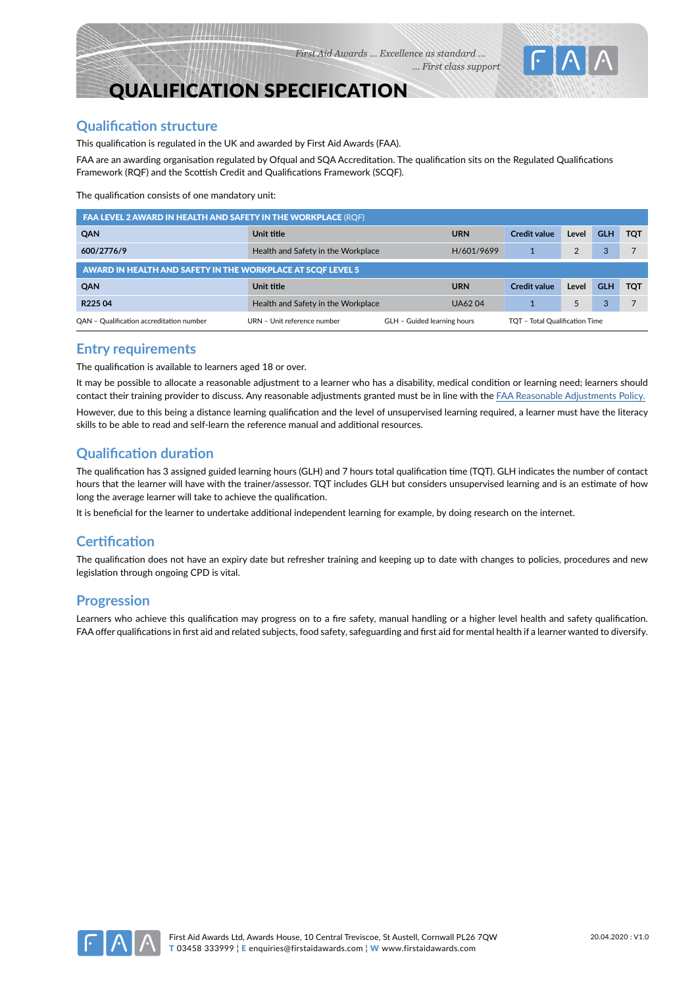# QUALIFICATION SPECIFICATION

## **Qualification structure**

This qualification is regulated in the UK and awarded by First Aid Awards (FAA).

FAA are an awarding organisation regulated by Ofqual and SQA Accreditation. The qualification sits on the Regulated Qualifications Framework (RQF) and the Scottish Credit and Qualifications Framework (SCQF).

The qualification consists of one mandatory unit:

| <b>FAA LEVEL 2 AWARD IN HEALTH AND SAFETY IN THE WORKPLACE (RQF)</b> |                                                                                                   |               |                     |       |            |            |  |  |
|----------------------------------------------------------------------|---------------------------------------------------------------------------------------------------|---------------|---------------------|-------|------------|------------|--|--|
| QAN                                                                  | Unit title                                                                                        | <b>URN</b>    | <b>Credit value</b> | Level | <b>GLH</b> | <b>TOT</b> |  |  |
| 600/2776/9                                                           | Health and Safety in the Workplace                                                                | H/601/9699    |                     | 2     | 3          |            |  |  |
| AWARD IN HEALTH AND SAFETY IN THE WORKPLACE AT SCOF LEVEL 5          |                                                                                                   |               |                     |       |            |            |  |  |
| <b>QAN</b>                                                           | Unit title                                                                                        | <b>URN</b>    | <b>Credit value</b> | Level | <b>GLH</b> | <b>TOT</b> |  |  |
| R <sub>225</sub> 04                                                  | Health and Safety in the Workplace                                                                | <b>UA6204</b> |                     | 5     | 3          |            |  |  |
| OAN - Qualification accreditation number                             | GLH - Guided learning hours<br>URN - Unit reference number<br>- Total Oualification Time T<br>тот |               |                     |       |            |            |  |  |

#### **Entry requirements**

The qualification is available to learners aged 18 or over.

It may be possible to allocate a reasonable adjustment to a learner who has a disability, medical condition or learning need; learners should contact their training provider to discuss. Any reasonable adjustments granted must be in line with the FAA Reasonable Adjustments Policy.

However, due to this being a distance learning qualification and the level of unsupervised learning required, a learner must have the literacy skills to be able to read and self-learn the reference manual and additional resources.

## **Qualification duration**

The qualification has 3 assigned guided learning hours (GLH) and 7 hours total qualification time (TQT). GLH indicates the number of contact hours that the learner will have with the trainer/assessor. TQT includes GLH but considers unsupervised learning and is an estimate of how long the average learner will take to achieve the qualification.

It is beneficial for the learner to undertake additional independent learning for example, by doing research on the internet.

## **Certification**

The qualification does not have an expiry date but refresher training and keeping up to date with changes to policies, procedures and new legislation through ongoing CPD is vital.

## **Progression**

Learners who achieve this qualification may progress on to a fire safety, manual handling or a higher level health and safety qualification. FAA offer qualifications in first aid and related subjects, food safety, safeguarding and first aid for mental health if a learner wanted to diversify.